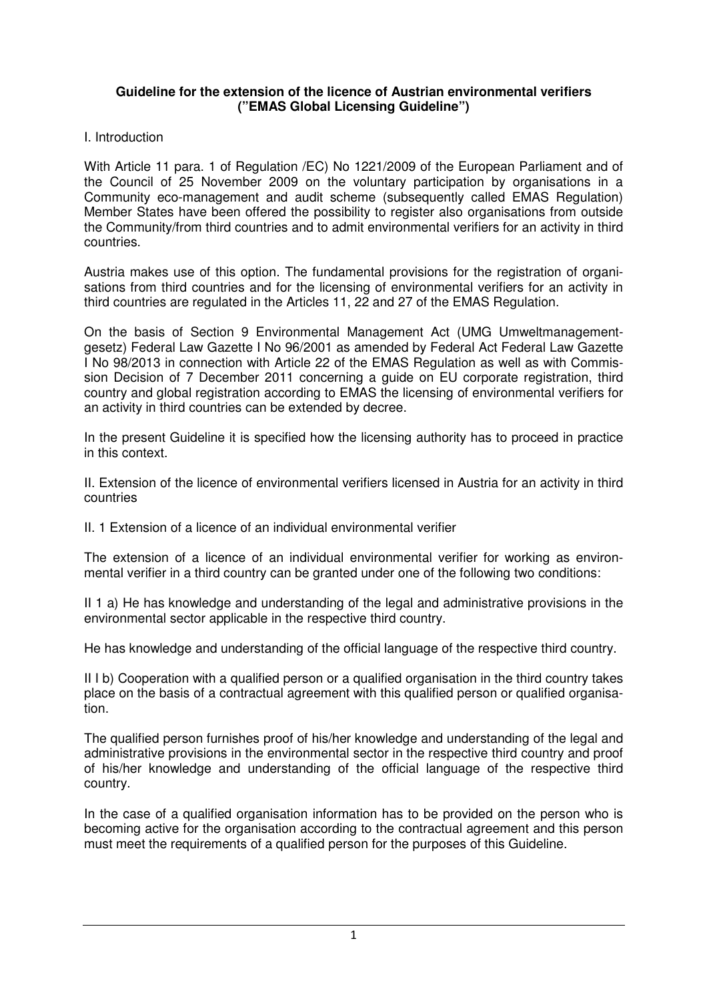### **Guideline for the extension of the licence of Austrian environmental verifiers ("EMAS Global Licensing Guideline")**

### I. Introduction

With Article 11 para. 1 of Regulation /EC) No 1221/2009 of the European Parliament and of the Council of 25 November 2009 on the voluntary participation by organisations in a Community eco-management and audit scheme (subsequently called EMAS Regulation) Member States have been offered the possibility to register also organisations from outside the Community/from third countries and to admit environmental verifiers for an activity in third countries.

Austria makes use of this option. The fundamental provisions for the registration of organisations from third countries and for the licensing of environmental verifiers for an activity in third countries are regulated in the Articles 11, 22 and 27 of the EMAS Regulation.

On the basis of Section 9 Environmental Management Act (UMG Umweltmanagementgesetz) Federal Law Gazette I No 96/2001 as amended by Federal Act Federal Law Gazette I No 98/2013 in connection with Article 22 of the EMAS Regulation as well as with Commission Decision of 7 December 2011 concerning a guide on EU corporate registration, third country and global registration according to EMAS the licensing of environmental verifiers for an activity in third countries can be extended by decree.

In the present Guideline it is specified how the licensing authority has to proceed in practice in this context.

II. Extension of the licence of environmental verifiers licensed in Austria for an activity in third countries

II. 1 Extension of a licence of an individual environmental verifier

The extension of a licence of an individual environmental verifier for working as environmental verifier in a third country can be granted under one of the following two conditions:

II 1 a) He has knowledge and understanding of the legal and administrative provisions in the environmental sector applicable in the respective third country.

He has knowledge and understanding of the official language of the respective third country.

II I b) Cooperation with a qualified person or a qualified organisation in the third country takes place on the basis of a contractual agreement with this qualified person or qualified organisation.

The qualified person furnishes proof of his/her knowledge and understanding of the legal and administrative provisions in the environmental sector in the respective third country and proof of his/her knowledge and understanding of the official language of the respective third country.

In the case of a qualified organisation information has to be provided on the person who is becoming active for the organisation according to the contractual agreement and this person must meet the requirements of a qualified person for the purposes of this Guideline.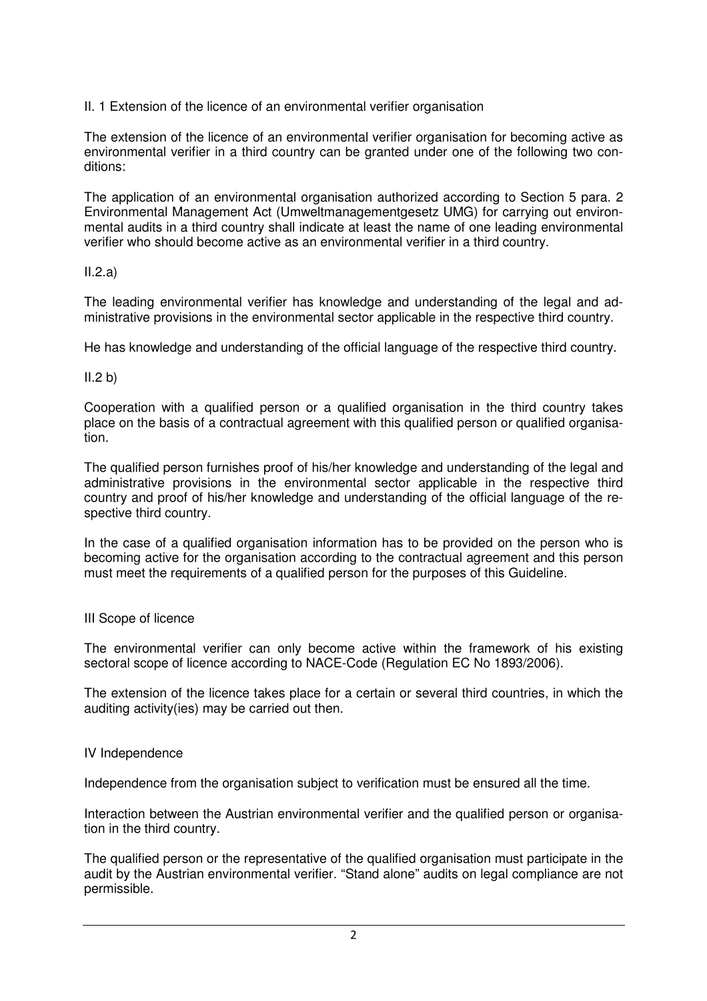II. 1 Extension of the licence of an environmental verifier organisation

The extension of the licence of an environmental verifier organisation for becoming active as environmental verifier in a third country can be granted under one of the following two conditions:

The application of an environmental organisation authorized according to Section 5 para. 2 Environmental Management Act (Umweltmanagementgesetz UMG) for carrying out environmental audits in a third country shall indicate at least the name of one leading environmental verifier who should become active as an environmental verifier in a third country.

# $II.2.a)$

The leading environmental verifier has knowledge and understanding of the legal and administrative provisions in the environmental sector applicable in the respective third country.

He has knowledge and understanding of the official language of the respective third country.

# $II.2 b)$

Cooperation with a qualified person or a qualified organisation in the third country takes place on the basis of a contractual agreement with this qualified person or qualified organisation.

The qualified person furnishes proof of his/her knowledge and understanding of the legal and administrative provisions in the environmental sector applicable in the respective third country and proof of his/her knowledge and understanding of the official language of the respective third country.

In the case of a qualified organisation information has to be provided on the person who is becoming active for the organisation according to the contractual agreement and this person must meet the requirements of a qualified person for the purposes of this Guideline.

## III Scope of licence

The environmental verifier can only become active within the framework of his existing sectoral scope of licence according to NACE-Code (Regulation EC No 1893/2006).

The extension of the licence takes place for a certain or several third countries, in which the auditing activity(ies) may be carried out then.

## IV Independence

Independence from the organisation subject to verification must be ensured all the time.

Interaction between the Austrian environmental verifier and the qualified person or organisation in the third country.

The qualified person or the representative of the qualified organisation must participate in the audit by the Austrian environmental verifier. "Stand alone" audits on legal compliance are not permissible.